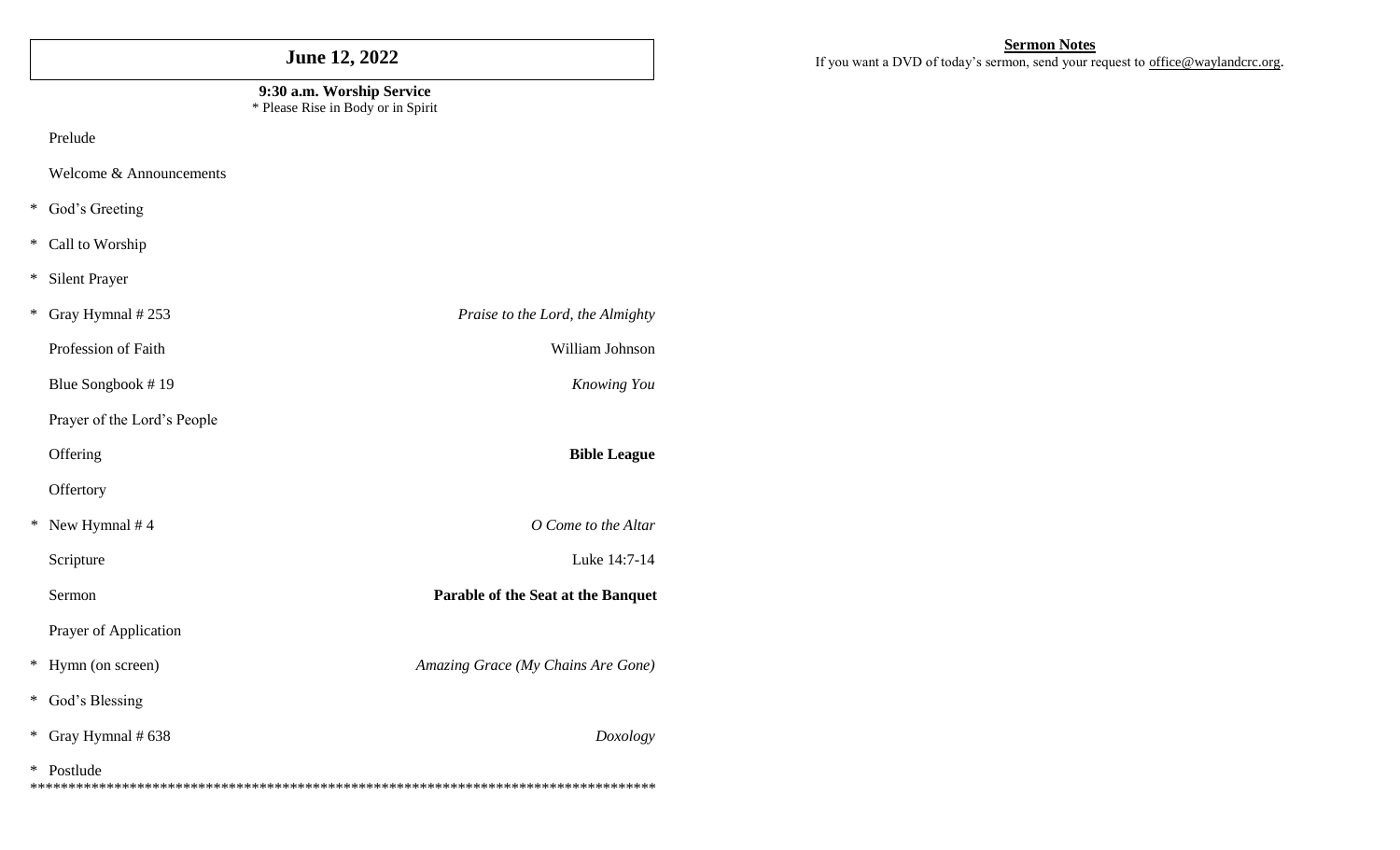# **June 12, 2022**

#### **9:30 a.m. Worship Service** \* Please Rise in Body or in Spirit

Prelude

Welcome & Announcements

- \* God's Greeting
- \* Call to Worship
- \* Silent Prayer

| ∗       | Gray Hymnal #253            | Praise to the Lord, the Almighty   |
|---------|-----------------------------|------------------------------------|
|         | Profession of Faith         | William Johnson                    |
|         | Blue Songbook #19           | Knowing You                        |
|         | Prayer of the Lord's People |                                    |
|         | Offering                    | <b>Bible League</b>                |
|         | Offertory                   |                                    |
| $^\ast$ | New Hymnal #4               | O Come to the Altar                |
|         | Scripture                   | Luke 14:7-14                       |
|         | Sermon                      | Parable of the Seat at the Banquet |
|         | Prayer of Application       |                                    |
| ∗       | Hymn (on screen)            | Amazing Grace (My Chains Are Gone) |
| ∗       | God's Blessing              |                                    |
| ∗       | Gray Hymnal # 638           | Doxology                           |
| ∗       | Postlude                    |                                    |

#### **Sermon Notes**

If you want a DVD of today's sermon, send your request to [office@waylandcrc.org](mailto:office@waylandcrc.org).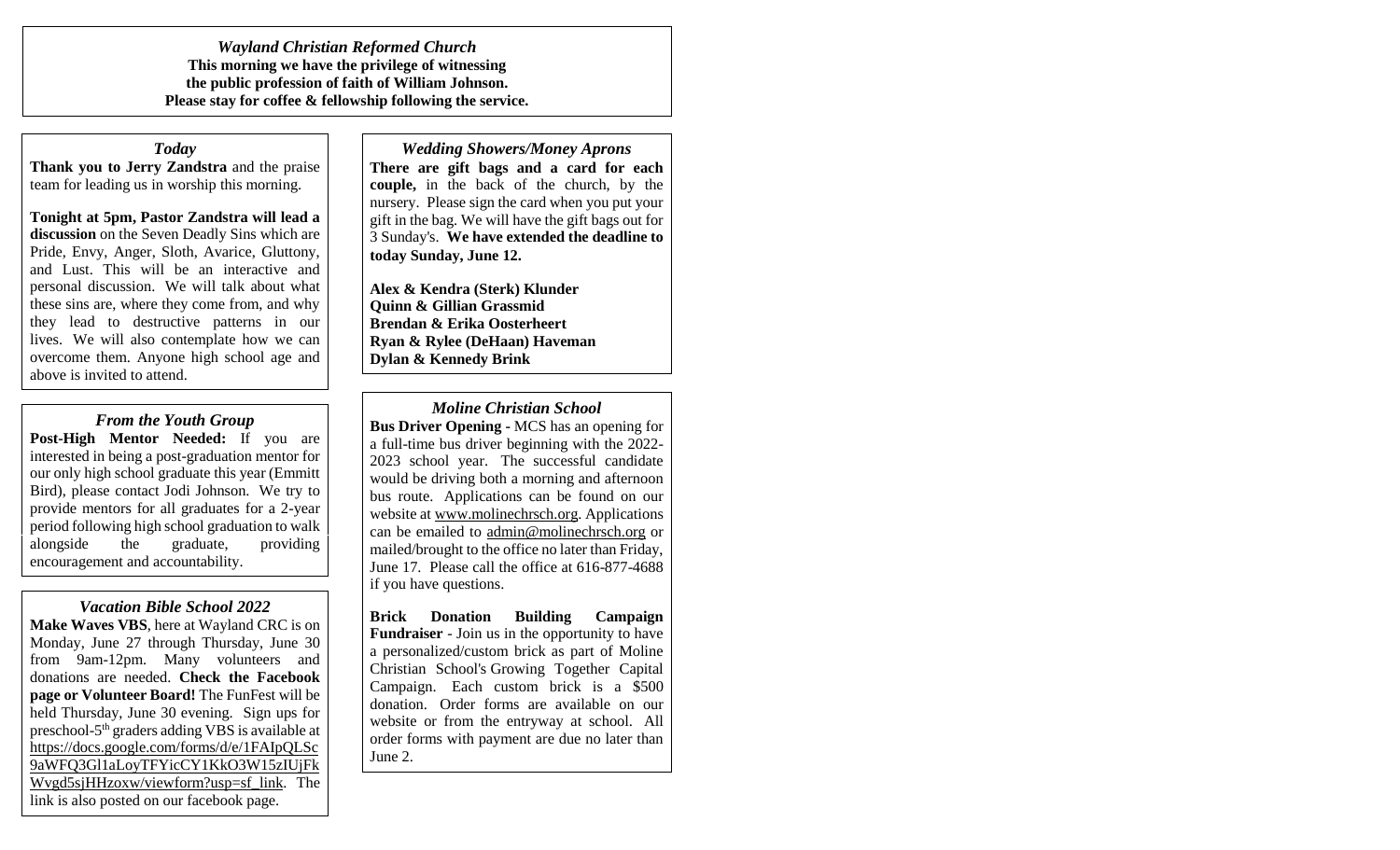*Wayland Christian Reformed Church* **This morning we have the privilege of witnessing the public profession of faith of William Johnson. Please stay for coffee & fellowship following the service.** 

#### *Today*

**Thank you to Jerry Zandstra** and the praise team for leading us in worship this morning.

**Tonight at 5pm, Pastor Zandstra will lead a discussion** on the Seven Deadly Sins which are Pride, Envy, Anger, Sloth, Avarice, Gluttony, and Lust. This will be an interactive and personal discussion. We will talk about what these sins are, where they come from, and why they lead to destructive patterns in our lives. We will also contemplate how we can overcome them. Anyone high school age and above is invited to attend.

*From the Youth Group* **Post-High Mentor Needed:** If you are interested in being a post-graduation mentor for our only high school graduate this year (Emmitt Bird), please contact Jodi Johnson. We try to provide mentors for all graduates for a 2-year period following high school graduation to walk alongside the graduate, providing

#### *Vacation Bible School 2022*

encouragement and accountability.

**Make Waves VBS**, here at Wayland CRC is on Monday, June 27 through Thursday, June 30 from 9am-12pm. Many volunteers and donations are needed. **Check the Facebook page or Volunteer Board!** The FunFest will be held Thursday, June 30 evening. Sign ups for preschool-5 th graders adding VBS is available at [https://docs.google.com/forms/d/e/1FAIpQLSc](https://docs.google.com/forms/d/e/1FAIpQLSc9aWFQ3Gl1aLoyTFYicCY1KkO3W15zIUjFkWvgd5sjHHzoxw/viewform?usp=sf_link) [9aWFQ3Gl1aLoyTFYicCY1KkO3W15zIUjFk](https://docs.google.com/forms/d/e/1FAIpQLSc9aWFQ3Gl1aLoyTFYicCY1KkO3W15zIUjFkWvgd5sjHHzoxw/viewform?usp=sf_link) [Wvgd5sjHHzoxw/viewform?usp=sf\\_link.](https://docs.google.com/forms/d/e/1FAIpQLSc9aWFQ3Gl1aLoyTFYicCY1KkO3W15zIUjFkWvgd5sjHHzoxw/viewform?usp=sf_link) The link is also posted on our facebook page.

### *Wedding Showers/Money Aprons* **There are gift bags and a card for each**

**couple,** in the back of the church, by the nursery. Please sign the card when you put your gift in the bag. We will have the gift bags out for 3 Sunday's. **We have extended the deadline to today Sunday, June 12.**

**Alex & Kendra (Sterk) Klunder Quinn & Gillian Grassmid Brendan & Erika Oosterheert Ryan & Rylee (DeHaan) Haveman Dylan & Kennedy Brink**

*Moline Christian School*

**Bus Driver Opening -** MCS has an opening for a full-time bus driver beginning with the 2022- 2023 school year. The successful candidate would be driving both a morning and afternoon bus route. Applications can be found on our website at [www.molinechrsch.org.](http://www.molinechrsch.org/) Applications can be emailed to [admin@molinechrsch.org](mailto:admin@molinechrsch.org) or mailed/brought to the office no later than Friday, June 17. Please call the office at 616-877-4688 if you have questions.

**Brick Donation Building Campaign Fundraiser** - Join us in the opportunity to have a personalized/custom brick as part of Moline Christian School's Growing Together Capital Campaign. Each custom brick is a \$500 donation. Order forms are available on our website or from the entryway at school. All order forms with payment are due no later than June 2.